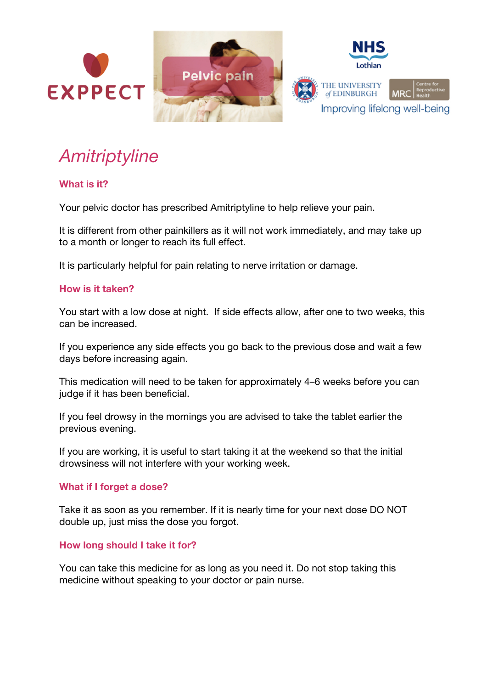

# *Amitriptyline*

## **What is it?**

Your pelvic doctor has prescribed Amitriptyline to help relieve your pain.

It is different from other painkillers as it will not work immediately, and may take up to a month or longer to reach its full effect.

It is particularly helpful for pain relating to nerve irritation or damage.

### **How is it taken?**

You start with a low dose at night. If side effects allow, after one to two weeks, this can be increased.

If you experience any side effects you go back to the previous dose and wait a few days before increasing again.

This medication will need to be taken for approximately 4–6 weeks before you can judge if it has been beneficial.

If you feel drowsy in the mornings you are advised to take the tablet earlier the previous evening.

If you are working, it is useful to start taking it at the weekend so that the initial drowsiness will not interfere with your working week.

### **What if I forget a dose?**

Take it as soon as you remember. If it is nearly time for your next dose DO NOT double up, just miss the dose you forgot.

### **How long should I take it for?**

You can take this medicine for as long as you need it. Do not stop taking this medicine without speaking to your doctor or pain nurse.